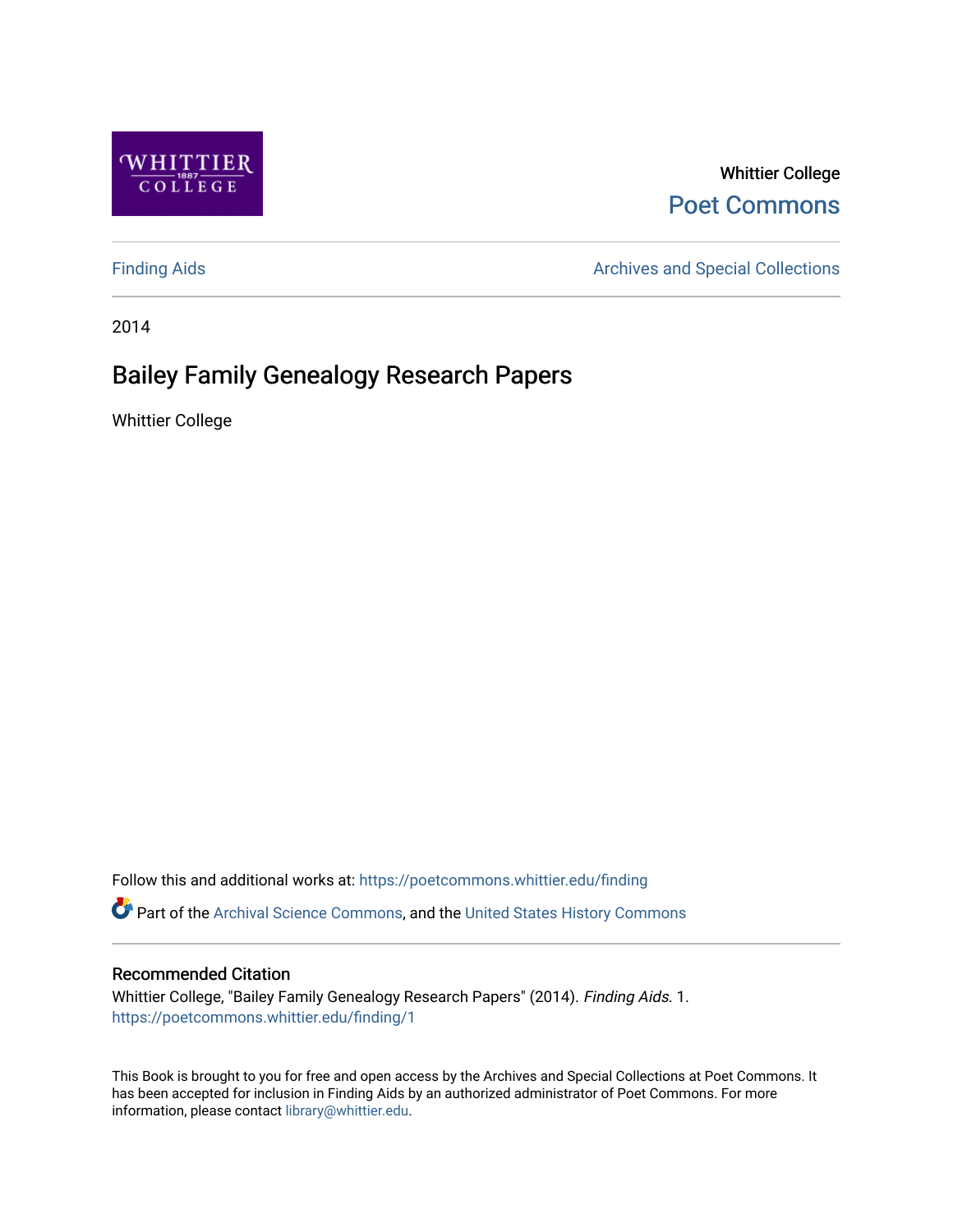

Whittier College [Poet Commons](https://poetcommons.whittier.edu/) 

[Finding Aids](https://poetcommons.whittier.edu/finding) **Archives and Special Collections** Archives and Special Collections

2014

# Bailey Family Genealogy Research Papers

Whittier College

Follow this and additional works at: [https://poetcommons.whittier.edu/finding](https://poetcommons.whittier.edu/finding?utm_source=poetcommons.whittier.edu%2Ffinding%2F1&utm_medium=PDF&utm_campaign=PDFCoverPages) 

Part of the [Archival Science Commons,](http://network.bepress.com/hgg/discipline/1021?utm_source=poetcommons.whittier.edu%2Ffinding%2F1&utm_medium=PDF&utm_campaign=PDFCoverPages) and the [United States History Commons](http://network.bepress.com/hgg/discipline/495?utm_source=poetcommons.whittier.edu%2Ffinding%2F1&utm_medium=PDF&utm_campaign=PDFCoverPages)

## Recommended Citation

Whittier College, "Bailey Family Genealogy Research Papers" (2014). Finding Aids. 1. [https://poetcommons.whittier.edu/finding/1](https://poetcommons.whittier.edu/finding/1?utm_source=poetcommons.whittier.edu%2Ffinding%2F1&utm_medium=PDF&utm_campaign=PDFCoverPages)

This Book is brought to you for free and open access by the Archives and Special Collections at Poet Commons. It has been accepted for inclusion in Finding Aids by an authorized administrator of Poet Commons. For more information, please contact [library@whittier.edu.](mailto:library@whittier.edu)